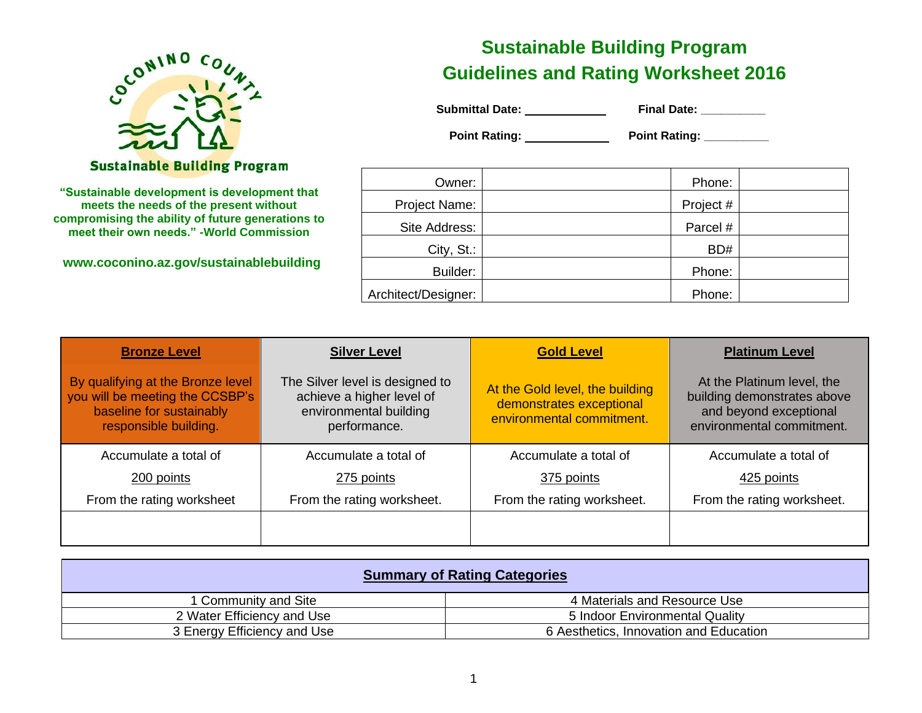

#### **Sustainable Building Program**

**"Sustainable development is development that meets the needs of the present without compromising the ability of future generations to meet their own needs." -World Commission**

**www.coconino.az.gov/sustainablebuilding**

# **Sustainable Building Program Guidelines and Rating Worksheet 2016**

| <b>Submittal Date:</b> | <b>Final Date:</b> |
|------------------------|--------------------|
|------------------------|--------------------|

 **Point Rating: \_\_\_\_\_\_\_\_\_\_\_\_ Point Rating: \_\_\_\_\_\_\_\_\_** 

| Owner:              | Phone:    |  |
|---------------------|-----------|--|
| Project Name:       | Project # |  |
| Site Address:       | Parcel #  |  |
| City, St.:          | BD#       |  |
| Builder:            | Phone:    |  |
| Architect/Designer: | Phone:    |  |

| <b>Bronze Level</b>                                                                                                       | <b>Silver Level</b>                                                                                    | <b>Gold Level</b>                                                                        | <b>Platinum Level</b>                                                                                            |
|---------------------------------------------------------------------------------------------------------------------------|--------------------------------------------------------------------------------------------------------|------------------------------------------------------------------------------------------|------------------------------------------------------------------------------------------------------------------|
| By qualifying at the Bronze level<br>you will be meeting the CCSBP's<br>baseline for sustainably<br>responsible building. | The Silver level is designed to<br>achieve a higher level of<br>environmental building<br>performance. | At the Gold level, the building<br>demonstrates exceptional<br>environmental commitment. | At the Platinum level, the<br>building demonstrates above<br>and beyond exceptional<br>environmental commitment. |
| Accumulate a total of                                                                                                     | Accumulate a total of                                                                                  | Accumulate a total of                                                                    | Accumulate a total of                                                                                            |
| 200 points                                                                                                                | 275 points                                                                                             | 375 points                                                                               | 425 points                                                                                                       |
| From the rating worksheet                                                                                                 | From the rating worksheet.                                                                             | From the rating worksheet.                                                               | From the rating worksheet.                                                                                       |
|                                                                                                                           |                                                                                                        |                                                                                          |                                                                                                                  |

| <b>Summary of Rating Categories</b> |                                        |  |  |
|-------------------------------------|----------------------------------------|--|--|
| 1 Community and Site                | 4 Materials and Resource Use           |  |  |
| 2 Water Efficiency and Use          | 5 Indoor Environmental Quality         |  |  |
| 3 Energy Efficiency and Use         | 6 Aesthetics, Innovation and Education |  |  |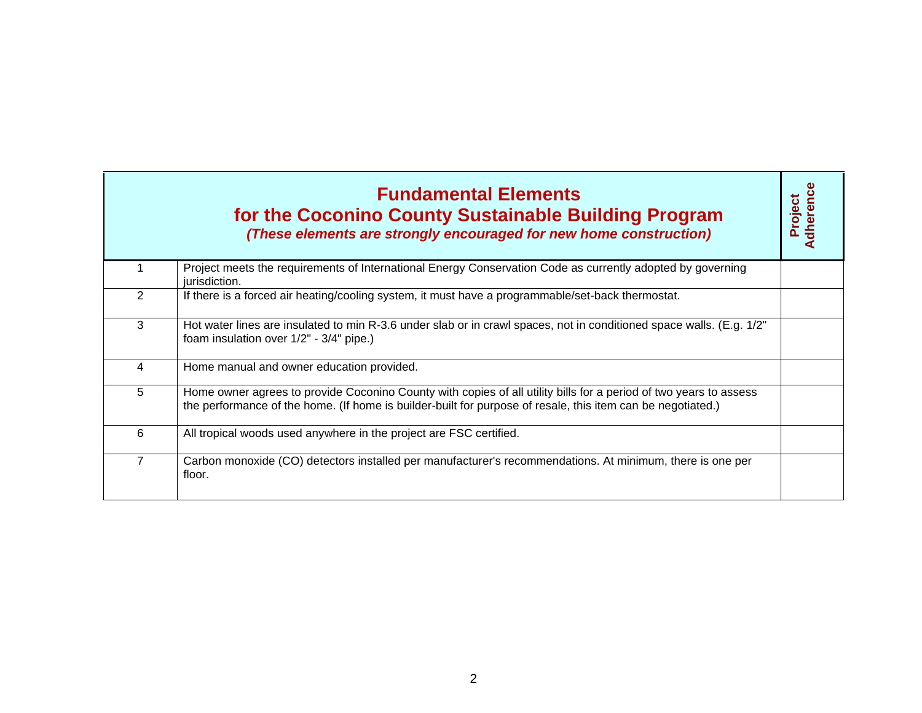|                | <b>Fundamental Elements</b><br>for the Coconino County Sustainable Building Program<br>(These elements are strongly encouraged for new home construction)                                                                        | dherence<br>Project |
|----------------|----------------------------------------------------------------------------------------------------------------------------------------------------------------------------------------------------------------------------------|---------------------|
|                | Project meets the requirements of International Energy Conservation Code as currently adopted by governing<br>jurisdiction.                                                                                                      |                     |
| 2              | If there is a forced air heating/cooling system, it must have a programmable/set-back thermostat.                                                                                                                                |                     |
| 3              | Hot water lines are insulated to min R-3.6 under slab or in crawl spaces, not in conditioned space walls. (E.g. 1/2"<br>foam insulation over 1/2" - 3/4" pipe.)                                                                  |                     |
| $\overline{4}$ | Home manual and owner education provided.                                                                                                                                                                                        |                     |
| 5              | Home owner agrees to provide Coconino County with copies of all utility bills for a period of two years to assess<br>the performance of the home. (If home is builder-built for purpose of resale, this item can be negotiated.) |                     |
| 6              | All tropical woods used anywhere in the project are FSC certified.                                                                                                                                                               |                     |
| $\overline{7}$ | Carbon monoxide (CO) detectors installed per manufacturer's recommendations. At minimum, there is one per<br>floor.                                                                                                              |                     |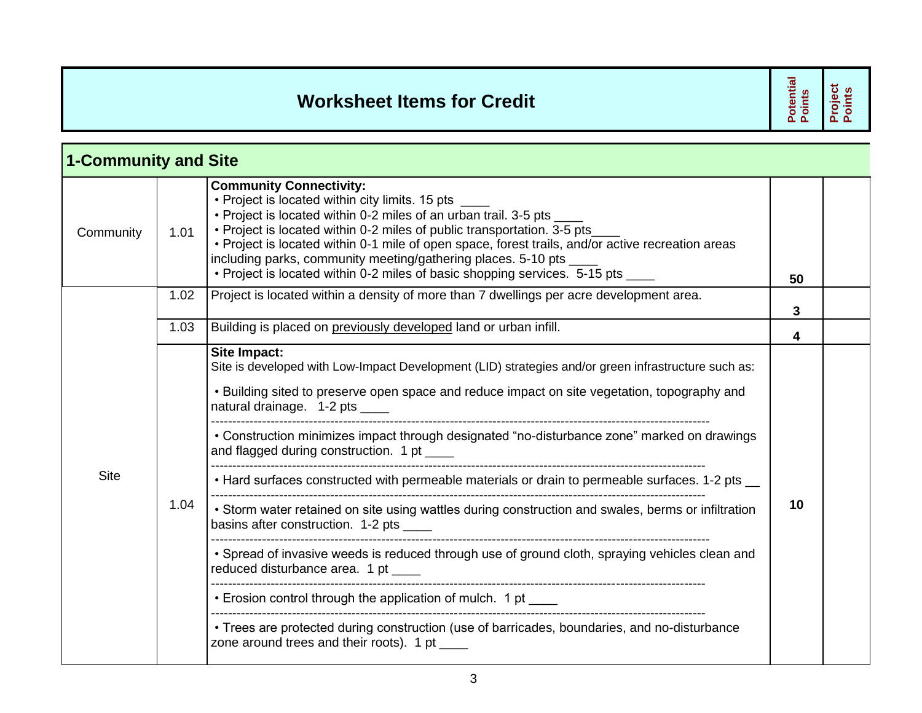## **Worksheet Items for Credit**

**Potential Points Project Points**

| <b>1-Community and Site</b> |      |                                                                                                                                                                                                                                                                                                                                                                                                                                                                                                                                                                                                                                                                                                                                                                                                                                                                                                                                                                                                             |    |  |
|-----------------------------|------|-------------------------------------------------------------------------------------------------------------------------------------------------------------------------------------------------------------------------------------------------------------------------------------------------------------------------------------------------------------------------------------------------------------------------------------------------------------------------------------------------------------------------------------------------------------------------------------------------------------------------------------------------------------------------------------------------------------------------------------------------------------------------------------------------------------------------------------------------------------------------------------------------------------------------------------------------------------------------------------------------------------|----|--|
| Community                   | 1.01 | <b>Community Connectivity:</b><br>• Project is located within city limits. 15 pts<br>• Project is located within 0-2 miles of an urban trail. 3-5 pts _<br>. Project is located within 0-2 miles of public transportation. 3-5 pts<br>• Project is located within 0-1 mile of open space, forest trails, and/or active recreation areas<br>including parks, community meeting/gathering places. 5-10 pts<br>• Project is located within 0-2 miles of basic shopping services. 5-15 pts _                                                                                                                                                                                                                                                                                                                                                                                                                                                                                                                    | 50 |  |
|                             | 1.02 | Project is located within a density of more than 7 dwellings per acre development area.                                                                                                                                                                                                                                                                                                                                                                                                                                                                                                                                                                                                                                                                                                                                                                                                                                                                                                                     | 3  |  |
|                             | 1.03 | Building is placed on previously developed land or urban infill.                                                                                                                                                                                                                                                                                                                                                                                                                                                                                                                                                                                                                                                                                                                                                                                                                                                                                                                                            | 4  |  |
| <b>Site</b>                 | 1.04 | Site Impact:<br>Site is developed with Low-Impact Development (LID) strategies and/or green infrastructure such as:<br>• Building sited to preserve open space and reduce impact on site vegetation, topography and<br>natural drainage. 1-2 pts ____<br>• Construction minimizes impact through designated "no-disturbance zone" marked on drawings<br>and flagged during construction. 1 pt ____<br>• Hard surfaces constructed with permeable materials or drain to permeable surfaces. 1-2 pts __<br>• Storm water retained on site using wattles during construction and swales, berms or infiltration<br>basins after construction. 1-2 pts<br>• Spread of invasive weeds is reduced through use of ground cloth, spraying vehicles clean and<br>reduced disturbance area. 1 pt _____<br>• Erosion control through the application of mulch. 1 pt __<br>• Trees are protected during construction (use of barricades, boundaries, and no-disturbance<br>zone around trees and their roots). 1 pt ____ | 10 |  |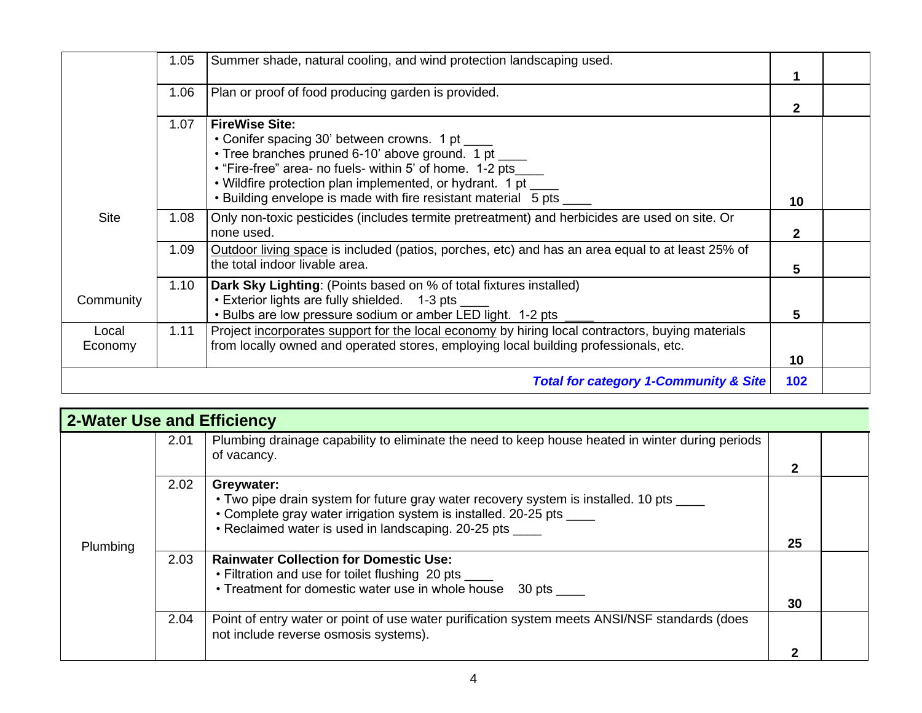|                  | 1.05 | Summer shade, natural cooling, and wind protection landscaping used.                                                                                                                                                                                                                                             |              |  |
|------------------|------|------------------------------------------------------------------------------------------------------------------------------------------------------------------------------------------------------------------------------------------------------------------------------------------------------------------|--------------|--|
|                  | 1.06 | Plan or proof of food producing garden is provided.                                                                                                                                                                                                                                                              | 2            |  |
|                  | 1.07 | <b>FireWise Site:</b><br>• Conifer spacing 30' between crowns. 1 pt<br>• Tree branches pruned 6-10' above ground. 1 pt<br>• "Fire-free" area- no fuels- within 5' of home. 1-2 pts<br>• Wildfire protection plan implemented, or hydrant. 1 pt<br>• Building envelope is made with fire resistant material 5 pts | 10           |  |
| <b>Site</b>      | 1.08 | Only non-toxic pesticides (includes termite pretreatment) and herbicides are used on site. Or<br>none used.                                                                                                                                                                                                      | $\mathbf{2}$ |  |
|                  | 1.09 | Outdoor living space is included (patios, porches, etc) and has an area equal to at least 25% of<br>the total indoor livable area.                                                                                                                                                                               | 5            |  |
| Community        | 1.10 | Dark Sky Lighting: (Points based on % of total fixtures installed)<br>• Exterior lights are fully shielded. 1-3 pts ____<br>• Bulbs are low pressure sodium or amber LED light. 1-2 pts                                                                                                                          | 5            |  |
| Local<br>Economy | 1.11 | Project incorporates support for the local economy by hiring local contractors, buying materials<br>from locally owned and operated stores, employing local building professionals, etc.                                                                                                                         | 10           |  |
|                  |      | <b>Total for category 1-Community &amp; Site</b>                                                                                                                                                                                                                                                                 | 102          |  |

| <b>2-Water Use and Efficiency</b> |      |                                                                                                                                                                                                                                            |    |  |
|-----------------------------------|------|--------------------------------------------------------------------------------------------------------------------------------------------------------------------------------------------------------------------------------------------|----|--|
|                                   | 2.01 | Plumbing drainage capability to eliminate the need to keep house heated in winter during periods<br>of vacancy.                                                                                                                            | 2  |  |
| Plumbing                          | 2.02 | Greywater:<br>• Two pipe drain system for future gray water recovery system is installed. 10 pts ____<br>• Complete gray water irrigation system is installed. 20-25 pts ____<br>• Reclaimed water is used in landscaping. 20-25 pts _____ | 25 |  |
|                                   | 2.03 | <b>Rainwater Collection for Domestic Use:</b><br>• Filtration and use for toilet flushing 20 pts ____<br>• Treatment for domestic water use in whole house 30 pts                                                                          | 30 |  |
|                                   | 2.04 | Point of entry water or point of use water purification system meets ANSI/NSF standards (does<br>not include reverse osmosis systems).                                                                                                     |    |  |
|                                   |      |                                                                                                                                                                                                                                            | ◠  |  |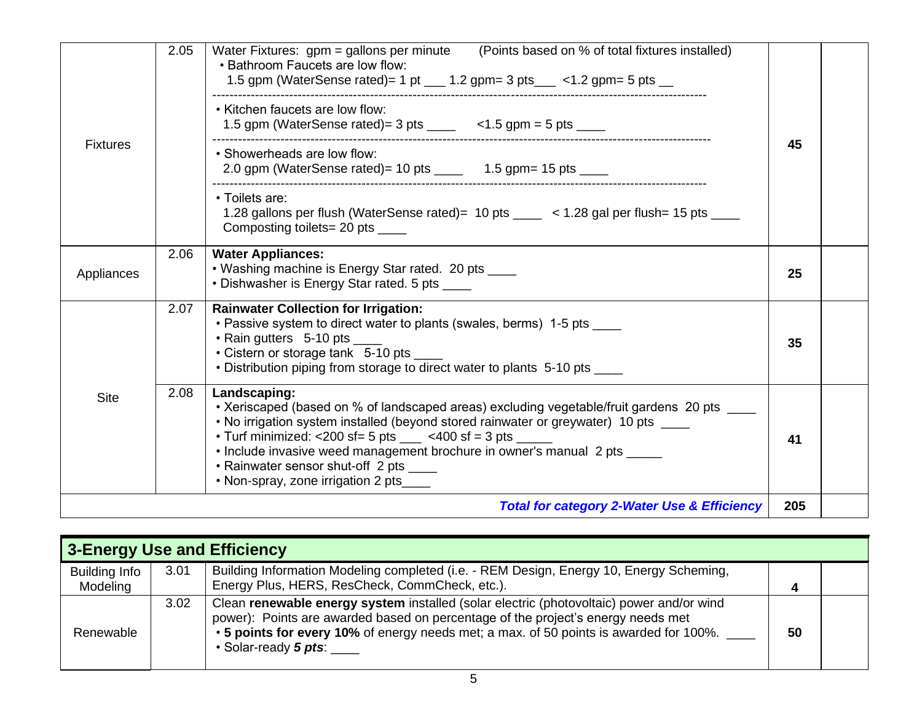| <b>Fixtures</b> | 2.05 | (Points based on % of total fixtures installed)<br>Water Fixtures: gpm = gallons per minute<br>• Bathroom Faucets are low flow:<br>1.5 gpm (WaterSense rated)= 1 pt $\_\_\_$ 1.2 gpm= 3 pts $\_\_\_$ < 1.2 gpm= 5 pts $\_\_\_$                                                                                                                                                                                                                |     |  |
|-----------------|------|-----------------------------------------------------------------------------------------------------------------------------------------------------------------------------------------------------------------------------------------------------------------------------------------------------------------------------------------------------------------------------------------------------------------------------------------------|-----|--|
|                 |      | • Kitchen faucets are low flow:<br>1.5 gpm (WaterSense rated) = $3$ pts _____ < 1.5 gpm = $5$ pts ____                                                                                                                                                                                                                                                                                                                                        |     |  |
|                 |      | • Showerheads are low flow:<br>2.0 gpm (WaterSense rated) = 10 pts $\frac{1}{2}$ 1.5 gpm = 15 pts $\frac{1}{2}$                                                                                                                                                                                                                                                                                                                               | 45  |  |
|                 |      | • Toilets are:<br>1.28 gallons per flush (WaterSense rated)= 10 pts _____ < 1.28 gal per flush= 15 pts ____<br>Composting toilets= 20 pts _____                                                                                                                                                                                                                                                                                               |     |  |
| Appliances      | 2.06 | <b>Water Appliances:</b><br>• Washing machine is Energy Star rated. 20 pts ____<br>• Dishwasher is Energy Star rated. 5 pts _____                                                                                                                                                                                                                                                                                                             | 25  |  |
| <b>Site</b>     | 2.07 | <b>Rainwater Collection for Irrigation:</b><br>• Passive system to direct water to plants (swales, berms) 1-5 pts ____<br>• Rain gutters 5-10 pts<br>• Cistern or storage tank 5-10 pts ____<br>• Distribution piping from storage to direct water to plants 5-10 pts ____                                                                                                                                                                    | 35  |  |
|                 | 2.08 | Landscaping:<br>• Xeriscaped (based on % of landscaped areas) excluding vegetable/fruit gardens 20 pts ____<br>• No irrigation system installed (beyond stored rainwater or greywater) 10 pts ____<br>• Turf minimized: <200 sf= 5 pts $\_\_\_\_$ <400 sf = 3 pts $\_\_\_\_$<br>. Include invasive weed management brochure in owner's manual 2 pts _____<br>• Rainwater sensor shut-off 2 pts ____<br>. Non-spray, zone irrigation 2 pts____ | 41  |  |
|                 |      | <b>Total for category 2-Water Use &amp; Efficiency</b>                                                                                                                                                                                                                                                                                                                                                                                        | 205 |  |

|                                  | 3-Energy Use and Efficiency |                                                                                                                                                                                                                                                                                                |    |  |
|----------------------------------|-----------------------------|------------------------------------------------------------------------------------------------------------------------------------------------------------------------------------------------------------------------------------------------------------------------------------------------|----|--|
| <b>Building Info</b><br>Modeling | 3.01                        | Building Information Modeling completed (i.e. - REM Design, Energy 10, Energy Scheming,<br>Energy Plus, HERS, ResCheck, CommCheck, etc.).                                                                                                                                                      | Δ  |  |
| Renewable                        | 3.02                        | Clean renewable energy system installed (solar electric (photovoltaic) power and/or wind<br>power): Points are awarded based on percentage of the project's energy needs met<br>• 5 points for every 10% of energy needs met; a max. of 50 points is awarded for 100%.<br>• Solar-ready 5 pts: | 50 |  |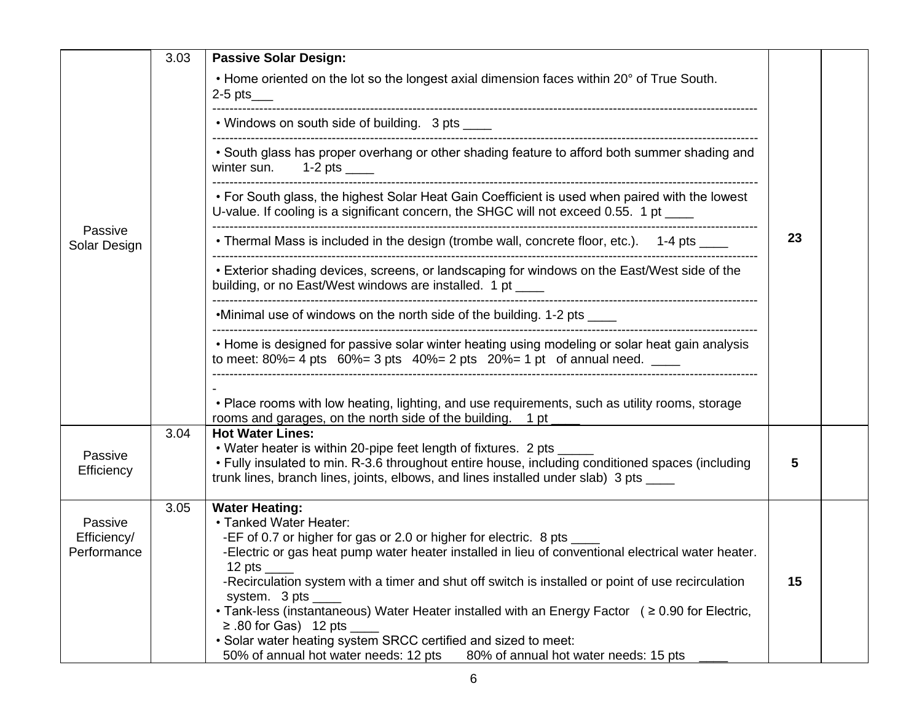|                                       | 3.03 | <b>Passive Solar Design:</b>                                                                                                                                                                                                                                                                                                                                                                                                                                                                                                                                                                                                                                            |    |  |
|---------------------------------------|------|-------------------------------------------------------------------------------------------------------------------------------------------------------------------------------------------------------------------------------------------------------------------------------------------------------------------------------------------------------------------------------------------------------------------------------------------------------------------------------------------------------------------------------------------------------------------------------------------------------------------------------------------------------------------------|----|--|
|                                       |      | • Home oriented on the lot so the longest axial dimension faces within 20° of True South.<br>$2-5$ pts____                                                                                                                                                                                                                                                                                                                                                                                                                                                                                                                                                              |    |  |
|                                       |      | • Windows on south side of building. 3 pts _____                                                                                                                                                                                                                                                                                                                                                                                                                                                                                                                                                                                                                        |    |  |
|                                       |      | . South glass has proper overhang or other shading feature to afford both summer shading and<br>winter sun. $1-2$ pts _____                                                                                                                                                                                                                                                                                                                                                                                                                                                                                                                                             |    |  |
|                                       |      | • For South glass, the highest Solar Heat Gain Coefficient is used when paired with the lowest<br>U-value. If cooling is a significant concern, the SHGC will not exceed 0.55. 1 pt ____                                                                                                                                                                                                                                                                                                                                                                                                                                                                                |    |  |
| Passive<br>Solar Design               |      | • Thermal Mass is included in the design (trombe wall, concrete floor, etc.). 1-4 pts ____                                                                                                                                                                                                                                                                                                                                                                                                                                                                                                                                                                              | 23 |  |
|                                       |      | • Exterior shading devices, screens, or landscaping for windows on the East/West side of the<br>building, or no East/West windows are installed. 1 pt ____                                                                                                                                                                                                                                                                                                                                                                                                                                                                                                              |    |  |
|                                       |      | •Minimal use of windows on the north side of the building. 1-2 pts ____                                                                                                                                                                                                                                                                                                                                                                                                                                                                                                                                                                                                 |    |  |
|                                       |      | • Home is designed for passive solar winter heating using modeling or solar heat gain analysis<br>to meet: 80% = 4 pts $60\%$ = 3 pts 40% = 2 pts 20% = 1 pt of annual need. ____                                                                                                                                                                                                                                                                                                                                                                                                                                                                                       |    |  |
|                                       |      | • Place rooms with low heating, lighting, and use requirements, such as utility rooms, storage<br>rooms and garages, on the north side of the building. 1 pt ____                                                                                                                                                                                                                                                                                                                                                                                                                                                                                                       |    |  |
| Passive<br>Efficiency                 | 3.04 | <b>Hot Water Lines:</b><br>• Water heater is within 20-pipe feet length of fixtures. 2 pts<br>• Fully insulated to min. R-3.6 throughout entire house, including conditioned spaces (including<br>trunk lines, branch lines, joints, elbows, and lines installed under slab) 3 pts ____                                                                                                                                                                                                                                                                                                                                                                                 | 5  |  |
| Passive<br>Efficiency/<br>Performance | 3.05 | <b>Water Heating:</b><br>• Tanked Water Heater:<br>-EF of 0.7 or higher for gas or 2.0 or higher for electric. 8 pts _<br>-Electric or gas heat pump water heater installed in lieu of conventional electrical water heater.<br>$12$ pts<br>-Recirculation system with a timer and shut off switch is installed or point of use recirculation<br>system. $3 \text{ pts}$ _____<br>• Tank-less (instantaneous) Water Heater installed with an Energy Factor $( \ge 0.90$ for Electric,<br>$\geq$ .80 for Gas) 12 pts<br>. Solar water heating system SRCC certified and sized to meet:<br>50% of annual hot water needs: 12 pts<br>80% of annual hot water needs: 15 pts | 15 |  |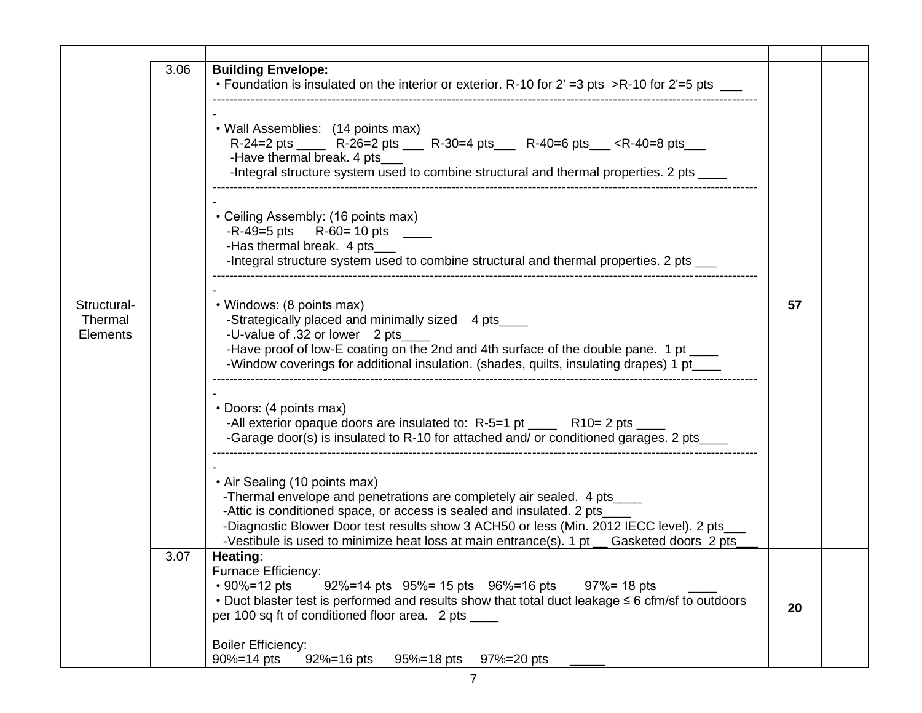|                                    | 3.06 | <b>Building Envelope:</b>                                                                                                                                                                                                                                                                                                                                                                                                                                                                                                                                                                                                                                                                                                                                                      |    |  |
|------------------------------------|------|--------------------------------------------------------------------------------------------------------------------------------------------------------------------------------------------------------------------------------------------------------------------------------------------------------------------------------------------------------------------------------------------------------------------------------------------------------------------------------------------------------------------------------------------------------------------------------------------------------------------------------------------------------------------------------------------------------------------------------------------------------------------------------|----|--|
| Structural-<br>Thermal<br>Elements |      | • Foundation is insulated on the interior or exterior. R-10 for 2' = 3 pts > R-10 for 2' = 5 pts _<br>• Wall Assemblies: (14 points max)<br>-Have thermal break. 4 pts<br>-Integral structure system used to combine structural and thermal properties. 2 pts ____<br>• Ceiling Assembly: (16 points max)<br>$-R-49=5$ pts $R-60=10$ pts ______<br>-Has thermal break. 4 pts_<br>-Integral structure system used to combine structural and thermal properties. 2 pts ___<br>• Windows: (8 points max)<br>-Strategically placed and minimally sized 4 pts_<br>-U-value of .32 or lower 2 pts<br>-Have proof of low-E coating on the 2nd and 4th surface of the double pane. 1 pt ____<br>-Window coverings for additional insulation. (shades, quilts, insulating drapes) 1 pt_ | 57 |  |
|                                    |      | • Doors: (4 points max)<br>-All exterior opaque doors are insulated to: R-5=1 pt _____ R10= 2 pts ____<br>-Garage door(s) is insulated to R-10 for attached and/ or conditioned garages. 2 pts_<br>• Air Sealing (10 points max)<br>-Thermal envelope and penetrations are completely air sealed. 4 pts_<br>-Attic is conditioned space, or access is sealed and insulated. 2 pts_<br>-Diagnostic Blower Door test results show 3 ACH50 or less (Min. 2012 IECC level). 2 pts_<br>-Vestibule is used to minimize heat loss at main entrance(s). 1 pt Gasketed doors 2 pts                                                                                                                                                                                                      |    |  |
|                                    | 3.07 | Heating:<br>Furnace Efficiency:<br>$\cdot$ 90%=12 pts<br>$92\% = 14$ pts $95\% = 15$ pts $96\% = 16$ pts<br>$97\% = 18$ pts<br>• Duct blaster test is performed and results show that total duct leakage $\leq 6$ cfm/sf to outdoors<br>per 100 sq ft of conditioned floor area. 2 pts<br><b>Boiler Efficiency:</b>                                                                                                                                                                                                                                                                                                                                                                                                                                                            | 20 |  |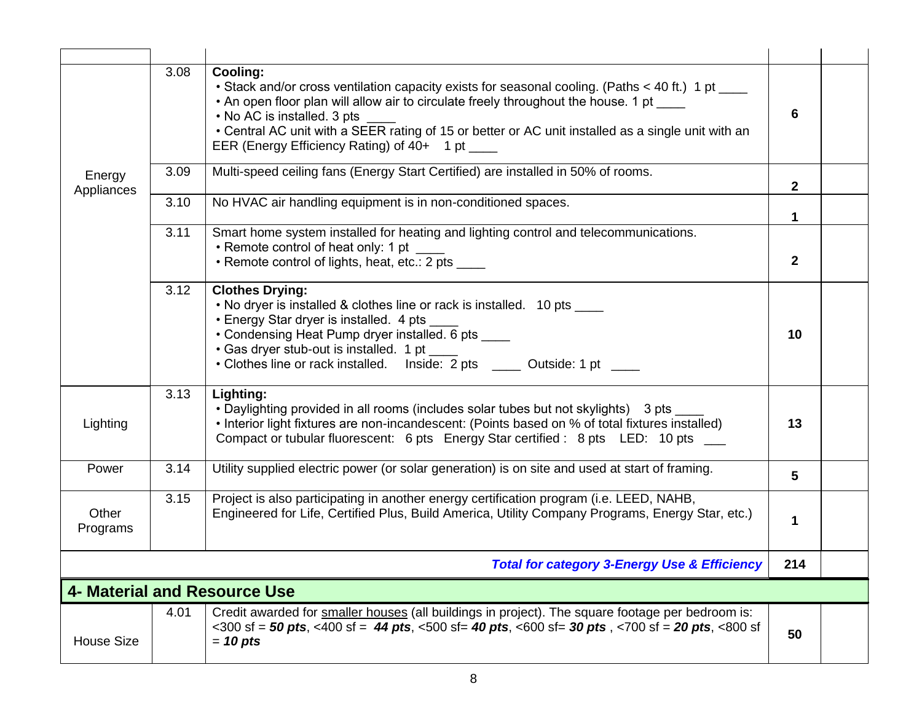|                      | 3.08                                                                                                                                                                                                                                                                                                                                     | Cooling:<br>• Stack and/or cross ventilation capacity exists for seasonal cooling. (Paths < 40 ft.) 1 pt ____<br>• An open floor plan will allow air to circulate freely throughout the house. 1 pt<br>• No AC is installed. 3 pts<br>• Central AC unit with a SEER rating of 15 or better or AC unit installed as a single unit with an<br>EER (Energy Efficiency Rating) of 40+ 1 pt ____ | 6            |  |  |  |
|----------------------|------------------------------------------------------------------------------------------------------------------------------------------------------------------------------------------------------------------------------------------------------------------------------------------------------------------------------------------|---------------------------------------------------------------------------------------------------------------------------------------------------------------------------------------------------------------------------------------------------------------------------------------------------------------------------------------------------------------------------------------------|--------------|--|--|--|
| Energy<br>Appliances | 3.09                                                                                                                                                                                                                                                                                                                                     | Multi-speed ceiling fans (Energy Start Certified) are installed in 50% of rooms.                                                                                                                                                                                                                                                                                                            | $\mathbf{2}$ |  |  |  |
|                      | 3.10                                                                                                                                                                                                                                                                                                                                     | No HVAC air handling equipment is in non-conditioned spaces.                                                                                                                                                                                                                                                                                                                                | 1            |  |  |  |
|                      | 3.11                                                                                                                                                                                                                                                                                                                                     | Smart home system installed for heating and lighting control and telecommunications.<br>• Remote control of heat only: 1 pt<br>• Remote control of lights, heat, etc.: 2 pts ____                                                                                                                                                                                                           | $\mathbf 2$  |  |  |  |
|                      | 3.12<br><b>Clothes Drying:</b><br>• No dryer is installed & clothes line or rack is installed. 10 pts ____<br>• Energy Star dryer is installed. 4 pts<br>• Condensing Heat Pump dryer installed. 6 pts ____<br>• Gas dryer stub-out is installed. 1 pt ____<br>• Clothes line or rack installed. Inside: 2 pts ______ Outside: 1 pt ____ |                                                                                                                                                                                                                                                                                                                                                                                             |              |  |  |  |
| Lighting             | 3.13                                                                                                                                                                                                                                                                                                                                     | Lighting:<br>• Daylighting provided in all rooms (includes solar tubes but not skylights) 3 pts<br>• Interior light fixtures are non-incandescent: (Points based on % of total fixtures installed)<br>Compact or tubular fluorescent: 6 pts Energy Star certified: 8 pts LED: 10 pts __                                                                                                     | 13           |  |  |  |
| Power                | 3.14                                                                                                                                                                                                                                                                                                                                     | Utility supplied electric power (or solar generation) is on site and used at start of framing.                                                                                                                                                                                                                                                                                              | 5            |  |  |  |
| Other<br>Programs    | 3.15                                                                                                                                                                                                                                                                                                                                     | Project is also participating in another energy certification program (i.e. LEED, NAHB,<br>Engineered for Life, Certified Plus, Build America, Utility Company Programs, Energy Star, etc.)                                                                                                                                                                                                 |              |  |  |  |
|                      |                                                                                                                                                                                                                                                                                                                                          | <b>Total for category 3-Energy Use &amp; Efficiency</b>                                                                                                                                                                                                                                                                                                                                     | 214          |  |  |  |
|                      |                                                                                                                                                                                                                                                                                                                                          | <b>4- Material and Resource Use</b>                                                                                                                                                                                                                                                                                                                                                         |              |  |  |  |
| <b>House Size</b>    | 4.01                                                                                                                                                                                                                                                                                                                                     | Credit awarded for smaller houses (all buildings in project). The square footage per bedroom is:<br>$\epsilon$ <300 sf = 50 pts, <400 sf = 44 pts, <500 sf= 40 pts, <600 sf= 30 pts, <700 sf = 20 pts, <800 sf<br>$= 10$ pts                                                                                                                                                                | 50           |  |  |  |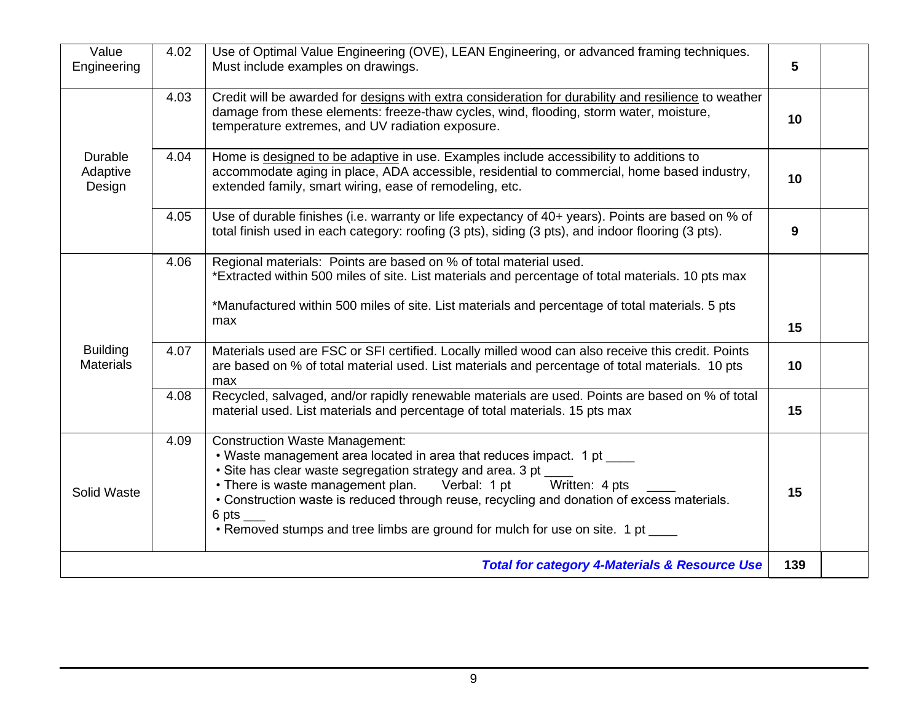| Value<br>Engineering                                            | 4.02 | Use of Optimal Value Engineering (OVE), LEAN Engineering, or advanced framing techniques.<br>Must include examples on drawings.                                                                                                                                                                                                                                                                                                                  |    |  |  |  |  |
|-----------------------------------------------------------------|------|--------------------------------------------------------------------------------------------------------------------------------------------------------------------------------------------------------------------------------------------------------------------------------------------------------------------------------------------------------------------------------------------------------------------------------------------------|----|--|--|--|--|
|                                                                 | 4.03 | Credit will be awarded for designs with extra consideration for durability and resilience to weather<br>damage from these elements: freeze-thaw cycles, wind, flooding, storm water, moisture,<br>temperature extremes, and UV radiation exposure.                                                                                                                                                                                               | 10 |  |  |  |  |
| Durable<br>Adaptive<br>Design                                   | 4.04 | Home is designed to be adaptive in use. Examples include accessibility to additions to<br>accommodate aging in place, ADA accessible, residential to commercial, home based industry,<br>extended family, smart wiring, ease of remodeling, etc.                                                                                                                                                                                                 | 10 |  |  |  |  |
|                                                                 | 4.05 | Use of durable finishes (i.e. warranty or life expectancy of 40+ years). Points are based on % of<br>total finish used in each category: roofing (3 pts), siding (3 pts), and indoor flooring (3 pts).                                                                                                                                                                                                                                           | 9  |  |  |  |  |
|                                                                 | 4.06 | Regional materials: Points are based on % of total material used.<br>*Extracted within 500 miles of site. List materials and percentage of total materials. 10 pts max<br>*Manufactured within 500 miles of site. List materials and percentage of total materials. 5 pts<br>max                                                                                                                                                                 | 15 |  |  |  |  |
| <b>Building</b><br><b>Materials</b>                             | 4.07 | Materials used are FSC or SFI certified. Locally milled wood can also receive this credit. Points<br>are based on % of total material used. List materials and percentage of total materials. 10 pts<br>max                                                                                                                                                                                                                                      | 10 |  |  |  |  |
|                                                                 | 4.08 | Recycled, salvaged, and/or rapidly renewable materials are used. Points are based on % of total<br>material used. List materials and percentage of total materials. 15 pts max                                                                                                                                                                                                                                                                   | 15 |  |  |  |  |
| Solid Waste                                                     | 4.09 | <b>Construction Waste Management:</b><br>• Waste management area located in area that reduces impact. 1 pt<br>· Site has clear waste segregation strategy and area. 3 pt __<br>• There is waste management plan. Verbal: 1 pt<br>Written: 4 pts<br>• Construction waste is reduced through reuse, recycling and donation of excess materials.<br>6 pts $\_\_$<br>• Removed stumps and tree limbs are ground for mulch for use on site. 1 pt ____ | 15 |  |  |  |  |
| 139<br><b>Total for category 4-Materials &amp; Resource Use</b> |      |                                                                                                                                                                                                                                                                                                                                                                                                                                                  |    |  |  |  |  |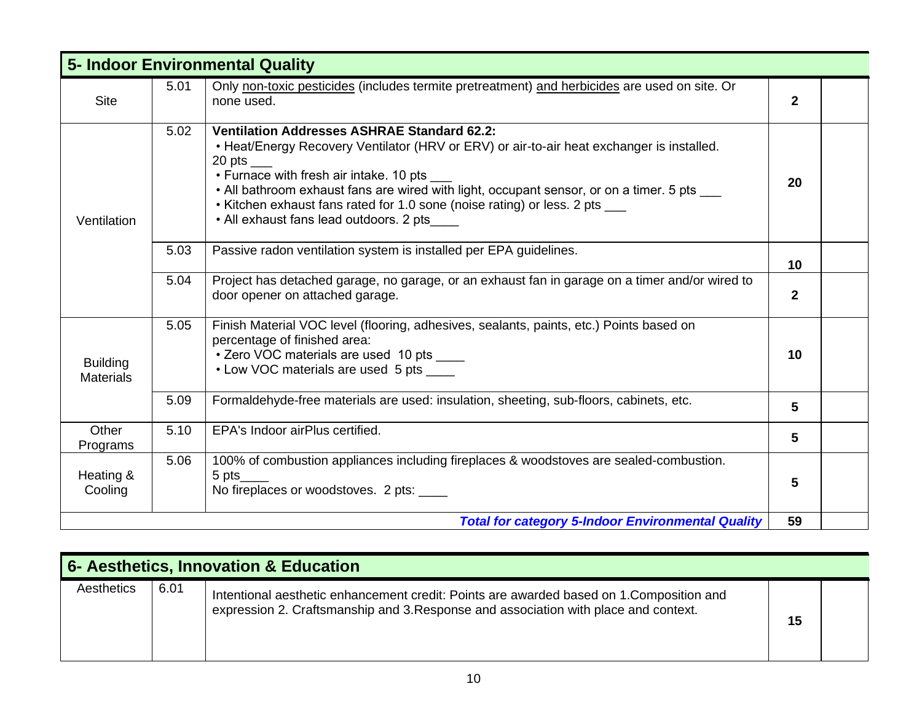| <b>5- Indoor Environmental Quality</b> |                                                                                                                                                        |                                                                                                                                                                                                                                                                                                                                                                                                                                      |              |  |  |  |  |  |
|----------------------------------------|--------------------------------------------------------------------------------------------------------------------------------------------------------|--------------------------------------------------------------------------------------------------------------------------------------------------------------------------------------------------------------------------------------------------------------------------------------------------------------------------------------------------------------------------------------------------------------------------------------|--------------|--|--|--|--|--|
| <b>Site</b>                            | Only non-toxic pesticides (includes termite pretreatment) and herbicides are used on site. Or<br>5.01<br>none used.                                    |                                                                                                                                                                                                                                                                                                                                                                                                                                      |              |  |  |  |  |  |
| Ventilation                            | 5.02                                                                                                                                                   | <b>Ventilation Addresses ASHRAE Standard 62.2:</b><br>• Heat/Energy Recovery Ventilator (HRV or ERV) or air-to-air heat exchanger is installed.<br>20 pts $\_\_$<br>• Furnace with fresh air intake. 10 pts<br>• All bathroom exhaust fans are wired with light, occupant sensor, or on a timer. 5 pts ___<br>• Kitchen exhaust fans rated for 1.0 sone (noise rating) or less. 2 pts ___<br>• All exhaust fans lead outdoors. 2 pts | 20           |  |  |  |  |  |
|                                        | 5.03                                                                                                                                                   | Passive radon ventilation system is installed per EPA guidelines.                                                                                                                                                                                                                                                                                                                                                                    | 10           |  |  |  |  |  |
|                                        | 5.04                                                                                                                                                   | Project has detached garage, no garage, or an exhaust fan in garage on a timer and/or wired to<br>door opener on attached garage.                                                                                                                                                                                                                                                                                                    | $\mathbf{2}$ |  |  |  |  |  |
| <b>Building</b><br><b>Materials</b>    | 5.05                                                                                                                                                   | Finish Material VOC level (flooring, adhesives, sealants, paints, etc.) Points based on<br>percentage of finished area:<br>• Zero VOC materials are used 10 pts ____<br>• Low VOC materials are used 5 pts _____                                                                                                                                                                                                                     | 10           |  |  |  |  |  |
|                                        | 5.09                                                                                                                                                   | Formaldehyde-free materials are used: insulation, sheeting, sub-floors, cabinets, etc.                                                                                                                                                                                                                                                                                                                                               | 5            |  |  |  |  |  |
| Other<br>Programs                      | 5.10                                                                                                                                                   | EPA's Indoor airPlus certified.                                                                                                                                                                                                                                                                                                                                                                                                      | 5            |  |  |  |  |  |
| Heating &<br>Cooling                   | 100% of combustion appliances including fireplaces & woodstoves are sealed-combustion.<br>5.06<br>$5$ pts_<br>No fireplaces or woodstoves. 2 pts: ____ |                                                                                                                                                                                                                                                                                                                                                                                                                                      |              |  |  |  |  |  |
|                                        |                                                                                                                                                        | <b>Total for category 5-Indoor Environmental Quality</b>                                                                                                                                                                                                                                                                                                                                                                             | 59           |  |  |  |  |  |

| 6- Aesthetics, Innovation & Education |      |                                                                                                                                                                                 |    |  |  |  |  |
|---------------------------------------|------|---------------------------------------------------------------------------------------------------------------------------------------------------------------------------------|----|--|--|--|--|
| Aesthetics                            | 6.01 | Intentional aesthetic enhancement credit: Points are awarded based on 1. Composition and<br>expression 2. Craftsmanship and 3. Response and association with place and context. | 15 |  |  |  |  |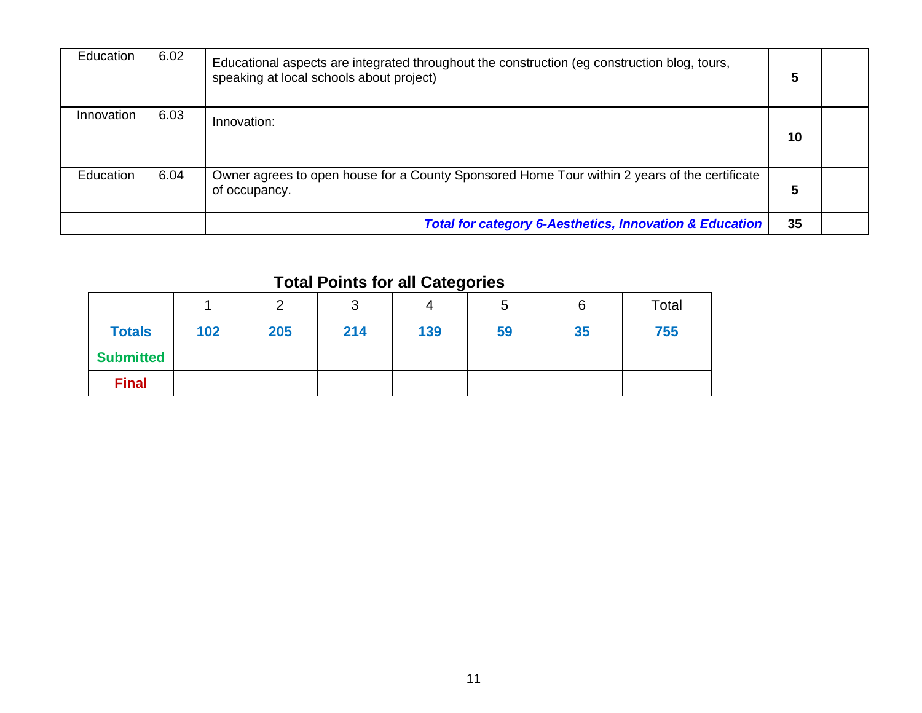| Education        | 6.02 | Educational aspects are integrated throughout the construction (eg construction blog, tours,<br>speaking at local schools about project) | 5  |  |
|------------------|------|------------------------------------------------------------------------------------------------------------------------------------------|----|--|
| Innovation       | 6.03 | Innovation:                                                                                                                              | 10 |  |
| <b>Education</b> | 6.04 | Owner agrees to open house for a County Sponsored Home Tour within 2 years of the certificate<br>of occupancy.                           | 5  |  |
|                  |      | <b>Total for category 6-Aesthetics, Innovation &amp; Education</b>                                                                       | 35 |  |

### **Total Points for all Categories**

|                  |     |     | ັ   |     | ა  |    | Total |
|------------------|-----|-----|-----|-----|----|----|-------|
| <b>Totals</b>    | 102 | 205 | 214 | 139 | 59 | 35 | 755   |
| <b>Submitted</b> |     |     |     |     |    |    |       |
| <b>Final</b>     |     |     |     |     |    |    |       |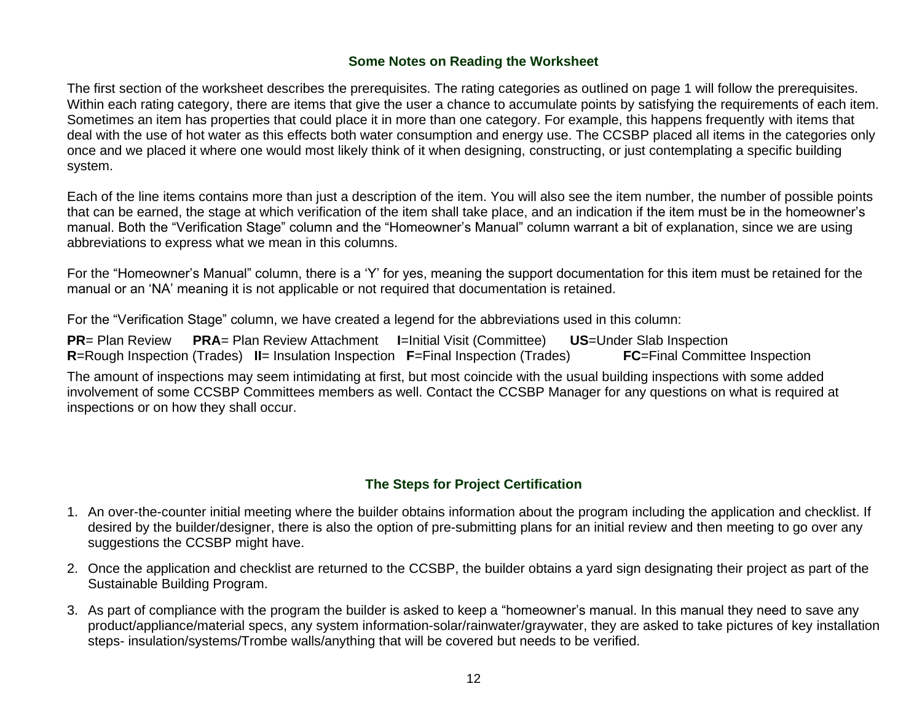#### **Some Notes on Reading the Worksheet**

The first section of the worksheet describes the prerequisites. The rating categories as outlined on page 1 will follow the prerequisites. Within each rating category, there are items that give the user a chance to accumulate points by satisfying the requirements of each item. Sometimes an item has properties that could place it in more than one category. For example, this happens frequently with items that deal with the use of hot water as this effects both water consumption and energy use. The CCSBP placed all items in the categories only once and we placed it where one would most likely think of it when designing, constructing, or just contemplating a specific building system.

Each of the line items contains more than just a description of the item. You will also see the item number, the number of possible points that can be earned, the stage at which verification of the item shall take place, and an indication if the item must be in the homeowner's manual. Both the "Verification Stage" column and the "Homeowner's Manual" column warrant a bit of explanation, since we are using abbreviations to express what we mean in this columns.

For the "Homeowner's Manual" column, there is a 'Y' for yes, meaning the support documentation for this item must be retained for the manual or an 'NA' meaning it is not applicable or not required that documentation is retained.

For the "Verification Stage" column, we have created a legend for the abbreviations used in this column:

**PR**= Plan Review **PRA**= Plan Review Attachment **I**=Initial Visit (Committee) **US**=Under Slab Inspection **R**=Rough Inspection (Trades) **II**= Insulation Inspection **F**=Final Inspection (Trades) **FC**=Final Committee Inspection

The amount of inspections may seem intimidating at first, but most coincide with the usual building inspections with some added involvement of some CCSBP Committees members as well. Contact the CCSBP Manager for any questions on what is required at inspections or on how they shall occur.

#### **The Steps for Project Certification**

- 1. An over-the-counter initial meeting where the builder obtains information about the program including the application and checklist. If desired by the builder/designer, there is also the option of pre-submitting plans for an initial review and then meeting to go over any suggestions the CCSBP might have.
- 2. Once the application and checklist are returned to the CCSBP, the builder obtains a yard sign designating their project as part of the Sustainable Building Program.
- 3. As part of compliance with the program the builder is asked to keep a "homeowner's manual. In this manual they need to save any product/appliance/material specs, any system information-solar/rainwater/graywater, they are asked to take pictures of key installation steps- insulation/systems/Trombe walls/anything that will be covered but needs to be verified.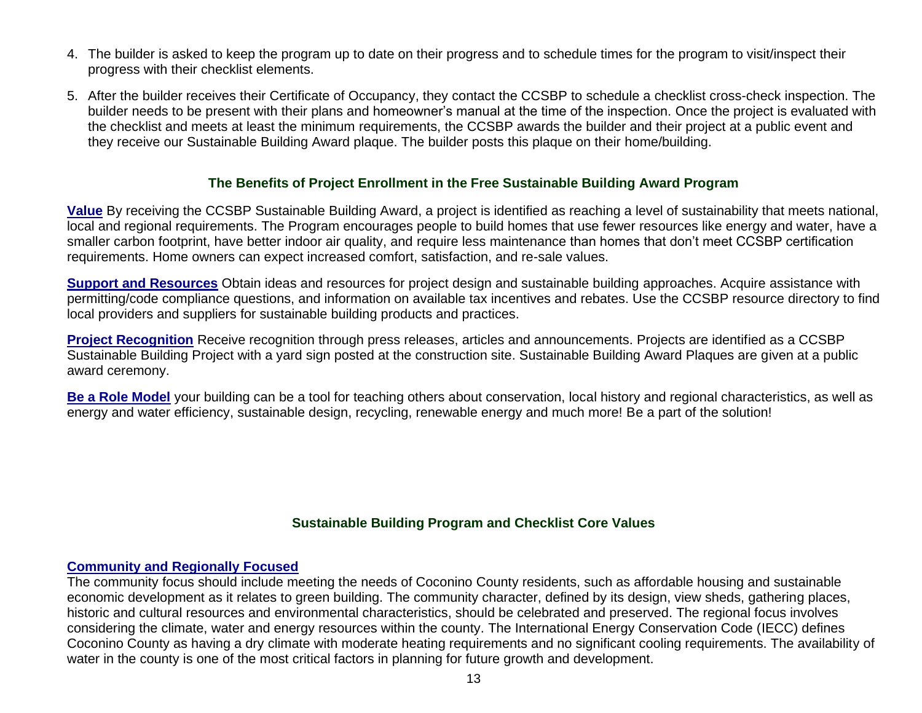- 4. The builder is asked to keep the program up to date on their progress and to schedule times for the program to visit/inspect their progress with their checklist elements.
- 5. After the builder receives their Certificate of Occupancy, they contact the CCSBP to schedule a checklist cross-check inspection. The builder needs to be present with their plans and homeowner's manual at the time of the inspection. Once the project is evaluated with the checklist and meets at least the minimum requirements, the CCSBP awards the builder and their project at a public event and they receive our Sustainable Building Award plaque. The builder posts this plaque on their home/building.

#### **The Benefits of Project Enrollment in the Free Sustainable Building Award Program**

**Value** By receiving the CCSBP Sustainable Building Award, a project is identified as reaching a level of sustainability that meets national, local and regional requirements. The Program encourages people to build homes that use fewer resources like energy and water, have a smaller carbon footprint, have better indoor air quality, and require less maintenance than homes that don't meet CCSBP certification requirements. Home owners can expect increased comfort, satisfaction, and re-sale values.

**Support and Resources** Obtain ideas and resources for project design and sustainable building approaches. Acquire assistance with permitting/code compliance questions, and information on available tax incentives and rebates. Use the CCSBP resource directory to find local providers and suppliers for sustainable building products and practices.

**Project Recognition** Receive recognition through press releases, articles and announcements. Projects are identified as a CCSBP Sustainable Building Project with a yard sign posted at the construction site. Sustainable Building Award Plaques are given at a public award ceremony.

**Be a Role Model** your building can be a tool for teaching others about conservation, local history and regional characteristics, as well as energy and water efficiency, sustainable design, recycling, renewable energy and much more! Be a part of the solution!

#### **Sustainable Building Program and Checklist Core Values**

#### **Community and Regionally Focused**

The community focus should include meeting the needs of Coconino County residents, such as affordable housing and sustainable economic development as it relates to green building. The community character, defined by its design, view sheds, gathering places, historic and cultural resources and environmental characteristics, should be celebrated and preserved. The regional focus involves considering the climate, water and energy resources within the county. The International Energy Conservation Code (IECC) defines Coconino County as having a dry climate with moderate heating requirements and no significant cooling requirements. The availability of water in the county is one of the most critical factors in planning for future growth and development.